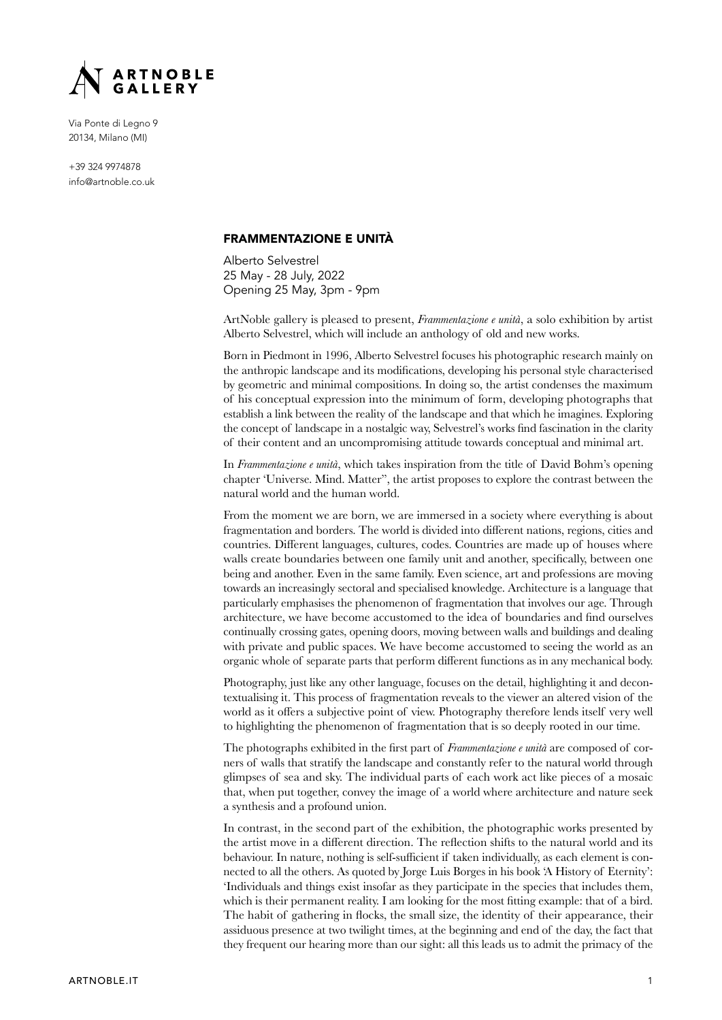

Via Ponte di Legno 9 20134, Milano (MI)

+39 324 9974878 info@artnoble.co.uk

#### FRAMMENTAZIONE E UNITÀ

Alberto Selvestrel 25 May - 28 July, 2022 Opening 25 May, 3pm - 9pm

ArtNoble gallery is pleased to present, *Frammentazione e unità*, a solo exhibition by artist Alberto Selvestrel, which will include an anthology of old and new works.

Born in Piedmont in 1996, Alberto Selvestrel focuses his photographic research mainly on the anthropic landscape and its modifications, developing his personal style characterised by geometric and minimal compositions. In doing so, the artist condenses the maximum of his conceptual expression into the minimum of form, developing photographs that establish a link between the reality of the landscape and that which he imagines. Exploring the concept of landscape in a nostalgic way, Selvestrel's works find fascination in the clarity of their content and an uncompromising attitude towards conceptual and minimal art.

In *Frammentazione e unità*, which takes inspiration from the title of David Bohm's opening chapter 'Universe. Mind. Matter", the artist proposes to explore the contrast between the natural world and the human world.

From the moment we are born, we are immersed in a society where everything is about fragmentation and borders. The world is divided into different nations, regions, cities and countries. Different languages, cultures, codes. Countries are made up of houses where walls create boundaries between one family unit and another, specifically, between one being and another. Even in the same family. Even science, art and professions are moving towards an increasingly sectoral and specialised knowledge. Architecture is a language that particularly emphasises the phenomenon of fragmentation that involves our age. Through architecture, we have become accustomed to the idea of boundaries and find ourselves continually crossing gates, opening doors, moving between walls and buildings and dealing with private and public spaces. We have become accustomed to seeing the world as an organic whole of separate parts that perform different functions as in any mechanical body.

Photography, just like any other language, focuses on the detail, highlighting it and decontextualising it. This process of fragmentation reveals to the viewer an altered vision of the world as it offers a subjective point of view. Photography therefore lends itself very well to highlighting the phenomenon of fragmentation that is so deeply rooted in our time.

The photographs exhibited in the first part of *Frammentazione e unità* are composed of corners of walls that stratify the landscape and constantly refer to the natural world through glimpses of sea and sky. The individual parts of each work act like pieces of a mosaic that, when put together, convey the image of a world where architecture and nature seek a synthesis and a profound union.

In contrast, in the second part of the exhibition, the photographic works presented by the artist move in a different direction. The reflection shifts to the natural world and its behaviour. In nature, nothing is self-sufficient if taken individually, as each element is connected to all the others. As quoted by Jorge Luis Borges in his book 'A History of Eternity': 'Individuals and things exist insofar as they participate in the species that includes them, which is their permanent reality. I am looking for the most fitting example: that of a bird. The habit of gathering in flocks, the small size, the identity of their appearance, their assiduous presence at two twilight times, at the beginning and end of the day, the fact that they frequent our hearing more than our sight: all this leads us to admit the primacy of the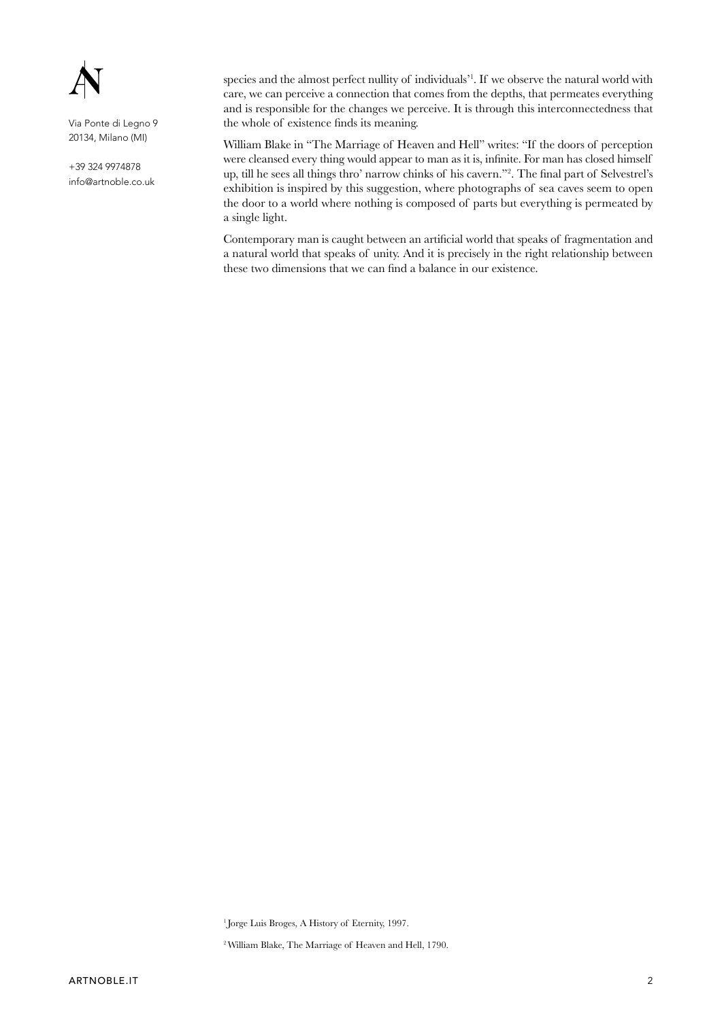

Via Ponte di Legno 9 20134, Milano (MI)

+39 324 9974878 info@artnoble.co.uk

species and the almost perfect nullity of individuals'1 . If we observe the natural world with care, we can perceive a connection that comes from the depths, that permeates everything and is responsible for the changes we perceive. It is through this interconnectedness that the whole of existence finds its meaning.

William Blake in "The Marriage of Heaven and Hell" writes: "If the doors of perception were cleansed every thing would appear to man as it is, infinite. For man has closed himself up, till he sees all things thro' narrow chinks of his cavern."2 . The final part of Selvestrel's exhibition is inspired by this suggestion, where photographs of sea caves seem to open the door to a world where nothing is composed of parts but everything is permeated by a single light.

Contemporary man is caught between an artificial world that speaks of fragmentation and a natural world that speaks of unity. And it is precisely in the right relationship between these two dimensions that we can find a balance in our existence.

<sup>1</sup> Jorge Luis Broges, A History of Eternity, 1997.

2 William Blake, The Marriage of Heaven and Hell, 1790.